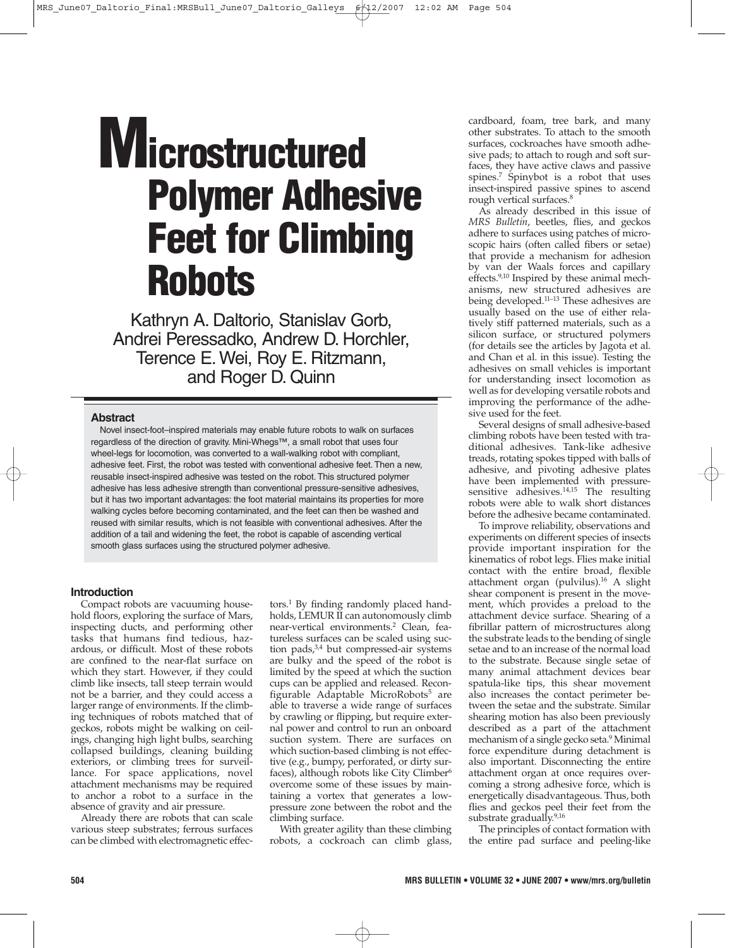# **Microstructured Polymer Adhesive Feet for Climbing Robots**

Kathryn A. Daltorio, Stanislav Gorb, Andrei Peressadko, Andrew D. Horchler, Terence E. Wei, Roy E. Ritzmann, and Roger D. Quinn

# **Abstract**

Novel insect-foot–inspired materials may enable future robots to walk on surfaces regardless of the direction of gravity. Mini-Whegs™, a small robot that uses four wheel-legs for locomotion, was converted to a wall-walking robot with compliant, adhesive feet. First, the robot was tested with conventional adhesive feet. Then a new, reusable insect-inspired adhesive was tested on the robot. This structured polymer adhesive has less adhesive strength than conventional pressure-sensitive adhesives, but it has two important advantages: the foot material maintains its properties for more walking cycles before becoming contaminated, and the feet can then be washed and reused with similar results, which is not feasible with conventional adhesives. After the addition of a tail and widening the feet, the robot is capable of ascending vertical smooth glass surfaces using the structured polymer adhesive.

## **Introduction**

Compact robots are vacuuming household floors, exploring the surface of Mars, inspecting ducts, and performing other tasks that humans find tedious, hazardous, or difficult. Most of these robots are confined to the near-flat surface on which they start. However, if they could climb like insects, tall steep terrain would not be a barrier, and they could access a larger range of environments. If the climbing techniques of robots matched that of geckos, robots might be walking on ceilings, changing high light bulbs, searching collapsed buildings, cleaning building exteriors, or climbing trees for surveillance. For space applications, novel attachment mechanisms may be required to anchor a robot to a surface in the absence of gravity and air pressure.

Already there are robots that can scale various steep substrates; ferrous surfaces can be climbed with electromagnetic effec-

tors.1 By finding randomly placed handholds, LEMUR II can autonomously climb near-vertical environments.2 Clean, featureless surfaces can be scaled using suction pads,<sup>3,4</sup> but compressed-air systems are bulky and the speed of the robot is limited by the speed at which the suction cups can be applied and released. Reconfigurable Adaptable MicroRobots<sup>5</sup> are able to traverse a wide range of surfaces by crawling or flipping, but require external power and control to run an onboard suction system. There are surfaces on which suction-based climbing is not effective (e.g., bumpy, perforated, or dirty surfaces), although robots like City Climber<sup>6</sup> overcome some of these issues by maintaining a vortex that generates a lowpressure zone between the robot and the climbing surface.

With greater agility than these climbing robots, a cockroach can climb glass,

 cardboard, foam, tree bark, and many other substrates. To attach to the smooth surfaces, cockroaches have smooth adhesive pads; to attach to rough and soft surfaces, they have active claws and passive spines.7 Spinybot is a robot that uses insect-inspired passive spines to ascend rough vertical surfaces.8

As already described in this issue of *MRS Bulletin*, beetles, flies, and geckos adhere to surfaces using patches of microscopic hairs (often called fibers or setae) that provide a mechanism for adhesion by van der Waals forces and capillary effects.9,10 Inspired by these animal mechanisms, new structured adhesives are being developed.11–13 These adhesives are usually based on the use of either relatively stiff patterned materials, such as a silicon surface, or structured polymers (for details see the articles by Jagota et al. and Chan et al. in this issue). Testing the adhesives on small vehicles is important for understanding insect locomotion as well as for developing versatile robots and improving the performance of the adhesive used for the feet.

Several designs of small adhesive-based climbing robots have been tested with traditional adhesives. Tank-like adhesive treads, rotating spokes tipped with balls of adhesive, and pivoting adhesive plates have been implemented with pressuresensitive adhesives.<sup>14,15</sup> The resulting robots were able to walk short distances before the adhesive became contaminated.

To improve reliability, observations and experiments on different species of insects provide important inspiration for the kinematics of robot legs. Flies make initial contact with the entire broad, flexible attachment organ (pulvilus).16 A slight shear component is present in the movement, which provides a preload to the attachment device surface. Shearing of a fibrillar pattern of microstructures along the substrate leads to the bending of single setae and to an increase of the normal load to the substrate. Because single setae of many animal attachment devices bear spatula-like tips, this shear movement also increases the contact perimeter between the setae and the substrate. Similar shearing motion has also been previously described as a part of the attachment mechanism of a single gecko seta.<sup>9</sup> Minimal force expenditure during detachment is also important. Disconnecting the entire attachment organ at once requires overcoming a strong adhesive force, which is energetically disadvantageous. Thus, both flies and geckos peel their feet from the substrate gradually. $9,16$ 

The principles of contact formation with the entire pad surface and peeling-like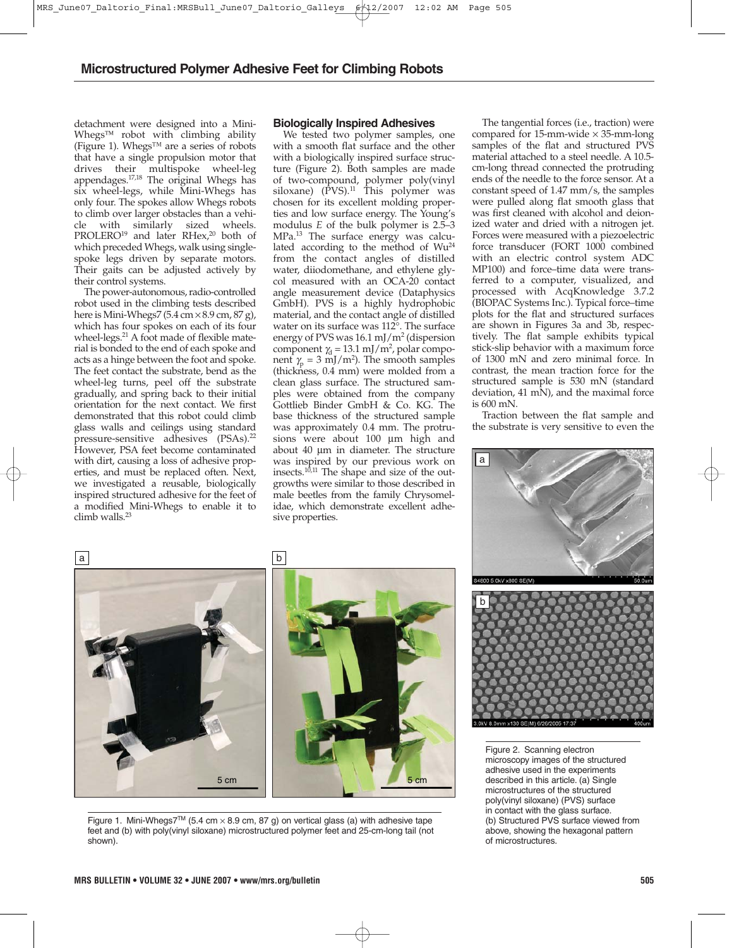detachment were designed into a Mini-Whegs™ robot with climbing ability (Figure 1). Whegs™ are a series of robots that have a single propulsion motor that drives their multispoke wheel-leg appendages.<sup>17,18</sup> The original Whegs has six wheel-legs, while Mini-Whegs has only four. The spokes allow Whegs robots to climb over larger obstacles than a vehicle with similarly sized wheels. PROLERO<sup>19</sup> and later RHex,<sup>20</sup> both of which preceded Whegs, walk using singlespoke legs driven by separate motors. Their gaits can be adjusted actively by their control systems.

The power-autonomous, radio-controlled robot used in the climbing tests described here is Mini-Whegs7  $(5.4 \text{ cm} \times 8.9 \text{ cm}, 87 \text{ g})$ , which has four spokes on each of its four wheel-legs.<sup>21</sup> A foot made of flexible material is bonded to the end of each spoke and acts as a hinge between the foot and spoke. The feet contact the substrate, bend as the wheel-leg turns, peel off the substrate gradually, and spring back to their initial orientation for the next contact. We first demonstrated that this robot could climb glass walls and ceilings using standard pressure-sensitive adhesives (PSAs).22 However, PSA feet become contaminated with dirt, causing a loss of adhesive properties, and must be replaced often. Next, we investigated a reusable, biologically inspired structured adhesive for the feet of a modified Mini-Whegs to enable it to climb walls.<sup>23</sup>

## **Biologically Inspired Adhesives**

We tested two polymer samples, one with a smooth flat surface and the other with a biologically inspired surface structure (Figure 2). Both samples are made of two-compound, polymer poly(vinyl siloxane)  $(\angle PVS)$ .<sup>11</sup> This polymer was chosen for its excellent molding properties and low surface energy. The Young's modulus *E* of the bulk polymer is 2.5–3 MPa.13 The surface energy was calculated according to the method of Wu<sup>24</sup> from the contact angles of distilled water, diiodomethane, and ethylene glycol measured with an OCA-20 contact angle measurement device (Dataphysics GmbH). PVS is a highly hydrophobic material, and the contact angle of distilled water on its surface was 112°. The surface energy of PVS was 16.1 mJ/m<sup>2</sup> (dispersion component  $\gamma_d = 13.1 \text{ mJ/m}^2$ , polar component  $\gamma_p = 3 \text{ mJ/m}^2$ ). The smooth samples (thickness, 0.4 mm) were molded from a clean glass surface. The structured samples were obtained from the company Gottlieb Binder GmbH & Co. KG. The base thickness of the structured sample was approximately 0.4 mm. The protrusions were about 100 µm high and about 40 µm in diameter. The structure was inspired by our previous work on insects.10,11 The shape and size of the outgrowths were similar to those described in male beetles from the family Chrysomelidae, which demonstrate excellent adhesive properties.

The tangential forces (i.e., traction) were compared for 15-mm-wide  $\times$  35-mm-long samples of the flat and structured PVS material attached to a steel needle. A 10.5 cm-long thread connected the protruding ends of the needle to the force sensor. At a constant speed of 1.47 mm/s, the samples were pulled along flat smooth glass that was first cleaned with alcohol and deionized water and dried with a nitrogen jet. Forces were measured with a piezoelectric force transducer (FORT 1000 combined with an electric control system ADC MP100) and force–time data were transferred to a computer, visualized, and processed with AcqKnowledge 3.7.2 (BIOPAC Systems Inc.). Typical force–time plots for the flat and structured surfaces are shown in Figures 3a and 3b, respectively. The flat sample exhibits typical stick-slip behavior with a maximum force of 1300 mN and zero minimal force. In contrast, the mean traction force for the structured sample is 530 mN (standard deviation,  $41 \text{ mN}$ , and the maximal force is 600 mN.

Traction between the flat sample and the substrate is very sensitive to even the



Figure 2. Scanning electron microscopy images of the structured adhesive used in the experiments described in this article. (a) Single microstructures of the structured poly(vinyl siloxane) (PVS) surface in contact with the glass surface. (b) Structured PVS surface viewed from above, showing the hexagonal pattern of microstructures.



Figure 1. Mini-Whegs7<sup>TM</sup> (5.4 cm  $\times$  8.9 cm, 87 g) on vertical glass (a) with adhesive tape feet and (b) with poly(vinyl siloxane) microstructured polymer feet and 25-cm-long tail (not shown).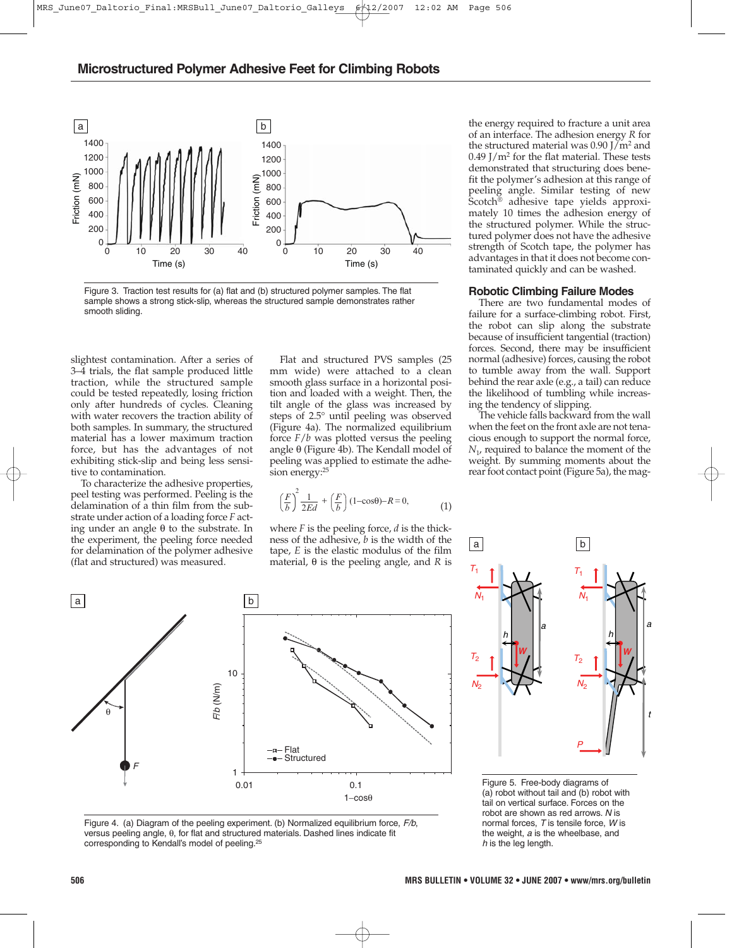

Figure 3. Traction test results for (a) flat and (b) structured polymer samples. The flat sample shows a strong stick-slip, whereas the structured sample demonstrates rather smooth sliding.

slightest contamination. After a series of 3–4 trials, the flat sample produced little traction, while the structured sample could be tested repeatedly, losing friction only after hundreds of cycles. Cleaning with water recovers the traction ability of both samples. In summary, the structured material has a lower maximum traction force, but has the advantages of not exhibiting stick-slip and being less sensitive to contamination.

To characterize the adhesive properties, peel testing was performed. Peeling is the delamination of a thin film from the substrate under action of a loading force *F* acting under an angle θ to the substrate. In the experiment, the peeling force needed for delamination of the polymer adhesive (flat and structured) was measured.

Flat and structured PVS samples (25 mm wide) were attached to a clean smooth glass surface in a horizontal position and loaded with a weight. Then, the tilt angle of the glass was increased by steps of 2.5° until peeling was observed (Figure 4a). The normalized equilibrium force *F*/*b* was plotted versus the peeling angle θ (Figure 4b). The Kendall model of peeling was applied to estimate the adhesion energy:<sup>25</sup>

$$
\left(\frac{F}{b}\right)^2 \frac{1}{2Ed} + \left(\frac{F}{b}\right)(1-\cos\theta) - R = 0,\tag{1}
$$

where *F* is the peeling force, *d* is the thickness of the adhesive, *b* is the width of the tape, *E* is the elastic modulus of the film material, θ is the peeling angle, and *R* is

the energy required to fracture a unit area of an interface. The adhesion energy *R* for the structured material was  $0.90$  J/m<sup>2</sup> and  $0.49$  J/m<sup>2</sup> for the flat material. These tests demonstrated that structuring does benefit the polymer's adhesion at this range of peeling angle. Similar testing of new Scotch® adhesive tape yields approximately 10 times the adhesion energy of the structured polymer. While the structured polymer does not have the adhesive strength of Scotch tape, the polymer has advantages in that it does not become contaminated quickly and can be washed.

#### **Robotic Climbing Failure Modes**

There are two fundamental modes of failure for a surface-climbing robot. First, the robot can slip along the substrate because of insufficient tangential (traction) forces. Second, there may be insufficient normal (adhesive) forces, causing the robot to tumble away from the wall. Support behind the rear axle (e.g., a tail) can reduce the likelihood of tumbling while increasing the tendency of slipping.

The vehicle falls backward from the wall when the feet on the front axle are not tenacious enough to support the normal force, *N*<sub>1</sub>, required to balance the moment of the weight. By summing moments about the rear foot contact point (Figure 5a), the mag-



Figure 4. (a) Diagram of the peeling experiment. (b) Normalized equilibrium force,  $F/b$ , versus peeling angle, θ, for flat and structured materials. Dashed lines indicate fit corresponding to Kendall's model of peeling.<sup>2</sup>



Figure 5. Free-body diagrams of (a) robot without tail and (b) robot with tail on vertical surface. Forces on the robot are shown as red arrows. N is normal forces, T is tensile force, W is the weight, <sup>a</sup> is the wheelbase, and h is the leg length.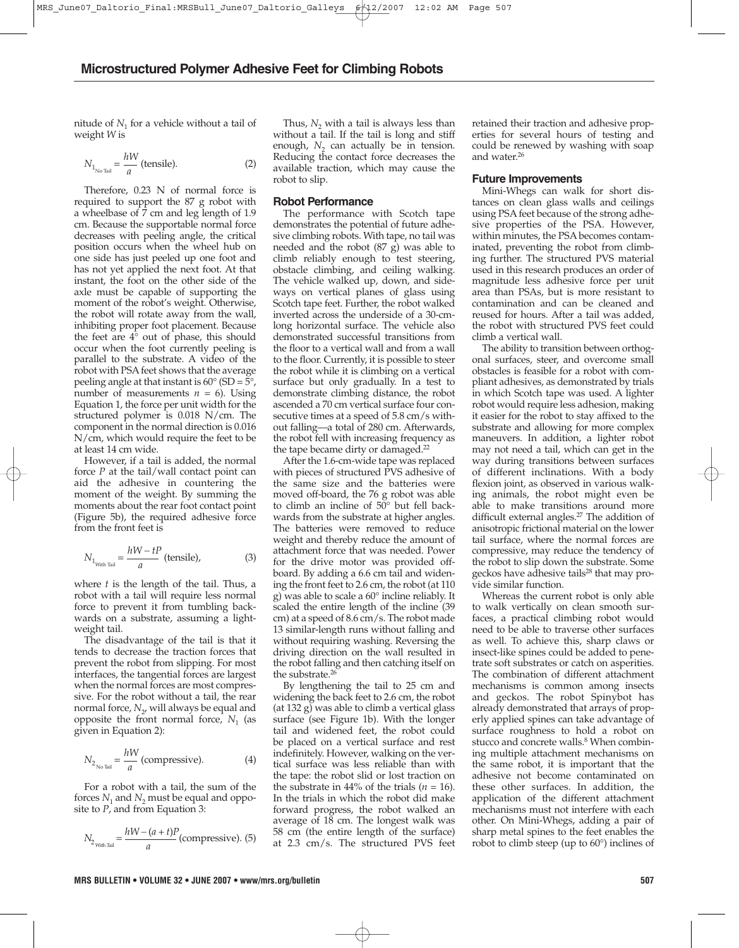nitude of  $N_1$  for a vehicle without a tail of weight *W* is

$$
N_{1_{\text{No Tail}}} = \frac{hW}{a} \text{ (tensile)}.
$$
 (2)

Therefore, 0.23 N of normal force is required to support the 87 g robot with a wheelbase of 7 cm and leg length of 1.9 cm. Because the supportable normal force decreases with peeling angle, the critical position occurs when the wheel hub on one side has just peeled up one foot and has not yet applied the next foot. At that instant, the foot on the other side of the axle must be capable of supporting the moment of the robot's weight. Otherwise, the robot will rotate away from the wall, inhibiting proper foot placement. Because the feet are 4° out of phase, this should occur when the foot currently peeling is parallel to the substrate. A video of the robot with PSA feet shows that the average peeling angle at that instant is  $60^{\circ}$  (SD =  $\overline{5}^{\circ}$ , number of measurements  $n = 6$ ). Using Equation 1, the force per unit width for the structured polymer is 0.018 N/cm. The component in the normal direction is 0.016 N/cm, which would require the feet to be at least 14 cm wide.

However, if a tail is added, the normal force *P* at the tail/wall contact point can aid the adhesive in countering the moment of the weight. By summing the moments about the rear foot contact point (Figure 5b), the required adhesive force from the front feet is

$$
N_{1_{\text{With Tail}}} = \frac{hW - tP}{a} \text{ (tensile)},\tag{3}
$$

where *t* is the length of the tail. Thus, a robot with a tail will require less normal force to prevent it from tumbling backwards on a substrate, assuming a lightweight tail.

The disadvantage of the tail is that it tends to decrease the traction forces that prevent the robot from slipping. For most interfaces, the tangential forces are largest when the normal forces are most compressive. For the robot without a tail, the rear normal force,  $N_2$ , will always be equal and opposite the front normal force,  $N_1$  (as given in Equation 2):

$$
N_{2_{\text{No Tail}}} = \frac{hW}{a} \text{ (compressive)}.
$$
 (4)

For a robot with a tail, the sum of the forces  $N_1$  and  $N_2$  must be equal and opposite to *P*, and from Equation 3:

$$
N_{2_{\text{With Tail}}} = \frac{hW - (a+t)P}{a} \text{(compressive)}.
$$
 (5)

Thus,  $N_2$  with a tail is always less than without a tail. If the tail is long and stiff enough,  $N_2$  can actually be in tension. Reducing the contact force decreases the available traction, which may cause the robot to slip.

#### **Robot Performance**

The performance with Scotch tape demonstrates the potential of future adhesive climbing robots. With tape, no tail was needed and the robot (87 g) was able to climb reliably enough to test steering, obstacle climbing, and ceiling walking. The vehicle walked up, down, and sideways on vertical planes of glass using Scotch tape feet. Further, the robot walked inverted across the underside of a 30-cmlong horizontal surface. The vehicle also demonstrated successful transitions from the floor to a vertical wall and from a wall to the floor. Currently, it is possible to steer the robot while it is climbing on a vertical surface but only gradually. In a test to demonstrate climbing distance, the robot ascended a 70 cm vertical surface four consecutive times at a speed of 5.8 cm/s without falling—a total of 280 cm. Afterwards, the robot fell with increasing frequency as the tape became dirty or damaged.<sup>22</sup>

After the 1.6-cm-wide tape was replaced with pieces of structured PVS adhesive of the same size and the batteries were moved off-board, the 76 g robot was able to climb an incline of  $50^{\circ}$  but fell backwards from the substrate at higher angles. The batteries were removed to reduce weight and thereby reduce the amount of attachment force that was needed. Power for the drive motor was provided offboard. By adding a 6.6 cm tail and widening the front feet to 2.6 cm, the robot (at 110 g) was able to scale a 60° incline reliably. It scaled the entire length of the incline (39 cm) at a speed of 8.6 cm/s. The robot made 13 similar-length runs without falling and without requiring washing. Reversing the driving direction on the wall resulted in the robot falling and then catching itself on the substrate.26

By lengthening the tail to 25 cm and widening the back feet to 2.6 cm, the robot (at 132 g) was able to climb a vertical glass surface (see Figure 1b). With the longer tail and widened feet, the robot could be placed on a vertical surface and rest indefinitely. However, walking on the vertical surface was less reliable than with the tape: the robot slid or lost traction on the substrate in 44% of the trials ( $n = 16$ ). In the trials in which the robot did make forward progress, the robot walked an average of 18 cm. The longest walk was 58 cm (the entire length of the surface) at 2.3 cm/s. The structured PVS feet

retained their traction and adhesive properties for several hours of testing and could be renewed by washing with soap and water.26

#### **Future Improvements**

Mini-Whegs can walk for short distances on clean glass walls and ceilings using PSA feet because of the strong adhesive properties of the PSA. However, within minutes, the PSA becomes contaminated, preventing the robot from climbing further. The structured PVS material used in this research produces an order of magnitude less adhesive force per unit area than PSAs, but is more resistant to contamination and can be cleaned and reused for hours. After a tail was added, the robot with structured PVS feet could climb a vertical wall.

The ability to transition between orthogonal surfaces, steer, and overcome small obstacles is feasible for a robot with compliant adhesives, as demonstrated by trials in which Scotch tape was used. A lighter robot would require less adhesion, making it easier for the robot to stay affixed to the substrate and allowing for more complex maneuvers. In addition, a lighter robot may not need a tail, which can get in the way during transitions between surfaces of different inclinations. With a body flexion joint, as observed in various walking animals, the robot might even be able to make transitions around more difficult external angles.<sup>27</sup> The addition of anisotropic frictional material on the lower tail surface, where the normal forces are compressive, may reduce the tendency of the robot to slip down the substrate. Some geckos have adhesive tails<sup>28</sup> that may provide similar function.

Whereas the current robot is only able to walk vertically on clean smooth surfaces, a practical climbing robot would need to be able to traverse other surfaces as well. To achieve this, sharp claws or insect-like spines could be added to penetrate soft substrates or catch on asperities. The combination of different attachment mechanisms is common among insects and geckos. The robot Spinybot has already demonstrated that arrays of properly applied spines can take advantage of surface roughness to hold a robot on stucco and concrete walls.<sup>8</sup> When combining multiple attachment mechanisms on the same robot, it is important that the adhesive not become contaminated on these other surfaces. In addition, the application of the different attachment mechanisms must not interfere with each other. On Mini-Whegs, adding a pair of sharp metal spines to the feet enables the robot to climb steep (up to 60°) inclines of